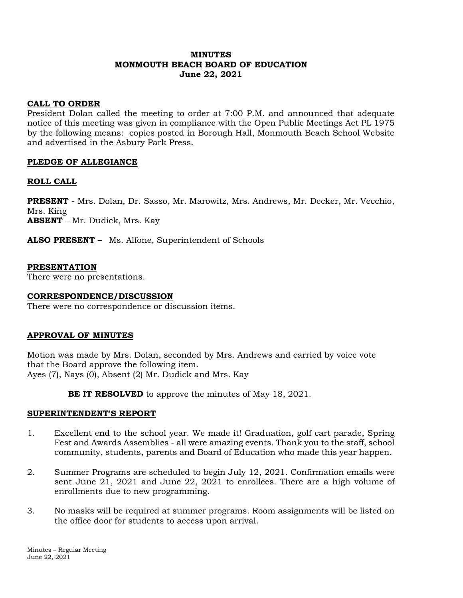#### **MINUTES MONMOUTH BEACH BOARD OF EDUCATION June 22, 2021**

## **CALL TO ORDER**

President Dolan called the meeting to order at 7:00 P.M. and announced that adequate notice of this meeting was given in compliance with the Open Public Meetings Act PL 1975 by the following means: copies posted in Borough Hall, Monmouth Beach School Website and advertised in the Asbury Park Press.

## **PLEDGE OF ALLEGIANCE**

#### **ROLL CALL**

**PRESENT** - Mrs. Dolan, Dr. Sasso, Mr. Marowitz, Mrs. Andrews, Mr. Decker, Mr. Vecchio, Mrs. King **ABSENT** – Mr. Dudick, Mrs. Kay

**ALSO PRESENT –** Ms. Alfone, Superintendent of Schools

#### **PRESENTATION**

There were no presentations.

#### **CORRESPONDENCE/DISCUSSION**

There were no correspondence or discussion items.

#### **APPROVAL OF MINUTES**

Motion was made by Mrs. Dolan, seconded by Mrs. Andrews and carried by voice vote that the Board approve the following item. Ayes (7), Nays (0), Absent (2) Mr. Dudick and Mrs. Kay

**BE IT RESOLVED** to approve the minutes of May 18, 2021.

#### **SUPERINTENDENT'S REPORT**

- 1. Excellent end to the school year. We made it! Graduation, golf cart parade, Spring Fest and Awards Assemblies - all were amazing events. Thank you to the staff, school community, students, parents and Board of Education who made this year happen.
- 2. Summer Programs are scheduled to begin July 12, 2021. Confirmation emails were sent June 21, 2021 and June 22, 2021 to enrollees. There are a high volume of enrollments due to new programming.
- 3. No masks will be required at summer programs. Room assignments will be listed on the office door for students to access upon arrival.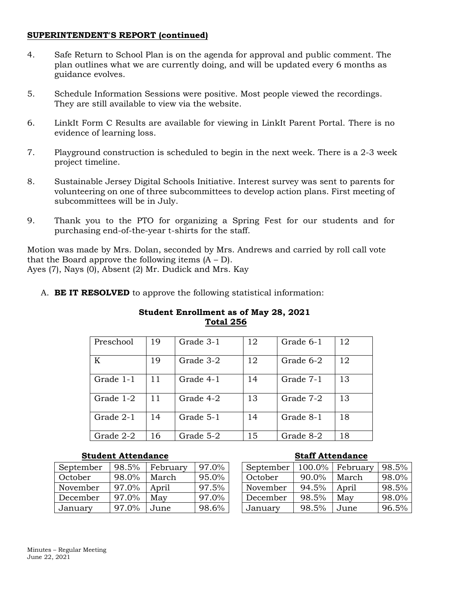#### **SUPERINTENDENT'S REPORT (continued)**

- 4. Safe Return to School Plan is on the agenda for approval and public comment. The plan outlines what we are currently doing, and will be updated every 6 months as guidance evolves.
- 5. Schedule Information Sessions were positive. Most people viewed the recordings. They are still available to view via the website.
- 6. LinkIt Form C Results are available for viewing in LinkIt Parent Portal. There is no evidence of learning loss.
- 7. Playground construction is scheduled to begin in the next week. There is a 2-3 week project timeline.
- 8. Sustainable Jersey Digital Schools Initiative. Interest survey was sent to parents for volunteering on one of three subcommittees to develop action plans. First meeting of subcommittees will be in July.
- 9. Thank you to the PTO for organizing a Spring Fest for our students and for purchasing end-of-the-year t-shirts for the staff.

Motion was made by Mrs. Dolan, seconded by Mrs. Andrews and carried by roll call vote that the Board approve the following items  $(A - D)$ . Ayes (7), Nays (0), Absent (2) Mr. Dudick and Mrs. Kay

A. **BE IT RESOLVED** to approve the following statistical information:

## **Student Enrollment as of May 28, 2021 Total 256**

| Preschool | 19 | Grade 3-1 | 12 | Grade 6-1 | 12 |
|-----------|----|-----------|----|-----------|----|
| K         | 19 | Grade 3-2 | 12 | Grade 6-2 | 12 |
| Grade 1-1 | 11 | Grade 4-1 | 14 | Grade 7-1 | 13 |
| Grade 1-2 | 11 | Grade 4-2 | 13 | Grade 7-2 | 13 |
| Grade 2-1 | 14 | Grade 5-1 | 14 | Grade 8-1 | 18 |
| Grade 2-2 | 16 | Grade 5-2 | 15 | Grade 8-2 | 18 |

#### **Student Attendance Staff Attendance**

| September | 98.5% | February | 97.0% |
|-----------|-------|----------|-------|
| October   | 98.0% | March    | 95.0% |
| November  | 97.0% | April    | 97.5% |
| December  | 97.0% | May      | 97.0% |
| January   | 97.0% | June     | 98.6% |

| September | 100.0%   | February | 98.5% |
|-----------|----------|----------|-------|
| October   | $90.0\%$ | March    | 98.0% |
| November  | 94.5%    | April    | 98.5% |
| December  | 98.5%    | May      | 98.0% |
| January   | 98.5%    | June     | 96.5% |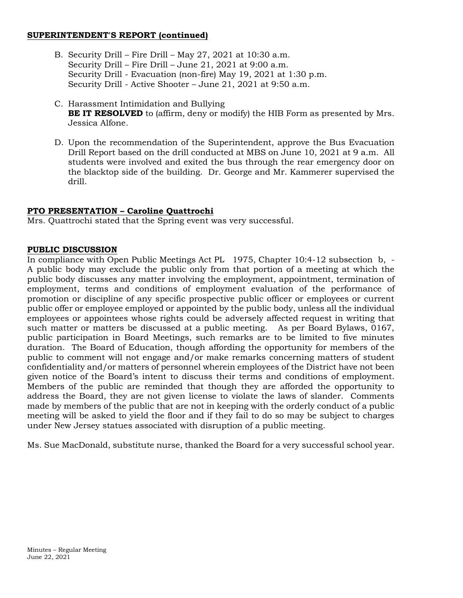#### **SUPERINTENDENT'S REPORT (continued)**

- B. Security Drill Fire Drill May 27, 2021 at 10:30 a.m. Security Drill – Fire Drill – June 21, 2021 at 9:00 a.m. Security Drill - Evacuation (non-fire) May 19, 2021 at 1:30 p.m. Security Drill - Active Shooter – June 21, 2021 at 9:50 a.m.
- C. Harassment Intimidation and Bullying **BE IT RESOLVED** to (affirm, deny or modify) the HIB Form as presented by Mrs. Jessica Alfone.
- D. Upon the recommendation of the Superintendent, approve the Bus Evacuation Drill Report based on the drill conducted at MBS on June 10, 2021 at 9 a.m. All students were involved and exited the bus through the rear emergency door on the blacktop side of the building. Dr. George and Mr. Kammerer supervised the drill.

## **PTO PRESENTATION – Caroline Quattrochi**

Mrs. Quattrochi stated that the Spring event was very successful.

#### **PUBLIC DISCUSSION**

In compliance with Open Public Meetings Act PL 1975, Chapter 10:4-12 subsection b, - A public body may exclude the public only from that portion of a meeting at which the public body discusses any matter involving the employment, appointment, termination of employment, terms and conditions of employment evaluation of the performance of promotion or discipline of any specific prospective public officer or employees or current public offer or employee employed or appointed by the public body, unless all the individual employees or appointees whose rights could be adversely affected request in writing that such matter or matters be discussed at a public meeting. As per Board Bylaws, 0167, public participation in Board Meetings, such remarks are to be limited to five minutes duration. The Board of Education, though affording the opportunity for members of the public to comment will not engage and/or make remarks concerning matters of student confidentiality and/or matters of personnel wherein employees of the District have not been given notice of the Board's intent to discuss their terms and conditions of employment. Members of the public are reminded that though they are afforded the opportunity to address the Board, they are not given license to violate the laws of slander. Comments made by members of the public that are not in keeping with the orderly conduct of a public meeting will be asked to yield the floor and if they fail to do so may be subject to charges under New Jersey statues associated with disruption of a public meeting.

Ms. Sue MacDonald, substitute nurse, thanked the Board for a very successful school year.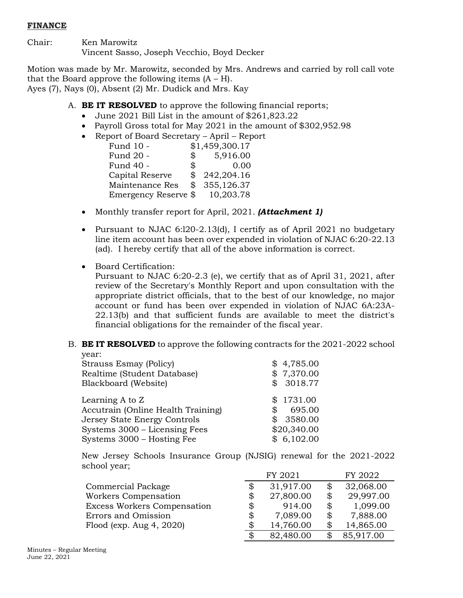## **FINANCE**

Chair: Ken Marowitz Vincent Sasso, Joseph Vecchio, Boyd Decker

Motion was made by Mr. Marowitz, seconded by Mrs. Andrews and carried by roll call vote that the Board approve the following items  $(A - H)$ . Ayes (7), Nays (0), Absent (2) Mr. Dudick and Mrs. Kay

- A. **BE IT RESOLVED** to approve the following financial reports;
	- June 2021 Bill List in the amount of \$261,823.22
	- Payroll Gross total for May 2021 in the amount of \$302,952.98
	- Report of Board Secretary April Report

| Fund 10 -            |              | \$1,459,300.17 |
|----------------------|--------------|----------------|
| Fund 20 -            | $\mathbb{S}$ | 5,916.00       |
| Fund 40 -            | \$           | 0.00           |
| Capital Reserve      | \$           | 242,204.16     |
| Maintenance Res      | \$           | 355,126.37     |
| Emergency Reserve \$ |              | 10,203.78      |

- Monthly transfer report for April, 2021. *(Attachment 1)*
- Pursuant to NJAC 6:l20-2.13(d), I certify as of April 2021 no budgetary line item account has been over expended in violation of NJAC 6:20-22.13 (ad). I hereby certify that all of the above information is correct.
- Board Certification:

Pursuant to NJAC 6:20-2.3 (e), we certify that as of April 31, 2021, after review of the Secretary's Monthly Report and upon consultation with the appropriate district officials, that to the best of our knowledge, no major account or fund has been over expended in violation of NJAC 6A:23A-22.13(b) and that sufficient funds are available to meet the district's financial obligations for the remainder of the fiscal year.

#### B. **BE IT RESOLVED** to approve the following contracts for the 2021-2022 school year:

| <b>Strauss Esmay (Policy)</b><br>Realtime (Student Database)<br>Blackboard (Website) | \$4,785.00<br>\$7,370.00<br>\$3018.77 |
|--------------------------------------------------------------------------------------|---------------------------------------|
| Learning A to Z<br>Accutrain (Online Health Training)                                | \$1731.00<br>695.00                   |
| Jersey State Energy Controls                                                         | \$3580.00                             |
| Systems 3000 – Licensing Fees                                                        | \$20,340.00                           |
| Systems 3000 – Hosting Fee                                                           | \$6,102.00                            |

New Jersey Schools Insurance Group (NJSIG) renewal for the 2021-2022 school year;

|                                    | FY 2021         | FY 2022         |
|------------------------------------|-----------------|-----------------|
| Commercial Package                 | \$<br>31,917.00 | \$<br>32,068.00 |
| Workers Compensation               | \$<br>27,800.00 | \$<br>29,997.00 |
| <b>Excess Workers Compensation</b> | \$<br>914.00    | \$<br>1,099.00  |
| Errors and Omission                | \$<br>7,089.00  | \$<br>7,888.00  |
| Flood (exp. Aug $4, 2020$ )        | \$<br>14,760.00 | 14,865.00       |
|                                    | \$<br>82,480.00 | 85,917.00       |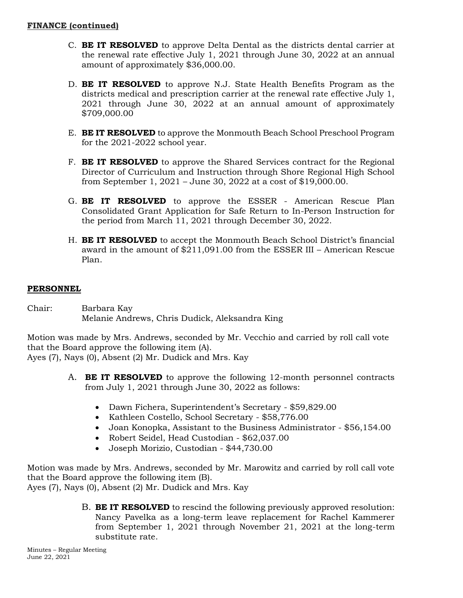- C. **BE IT RESOLVED** to approve Delta Dental as the districts dental carrier at the renewal rate effective July 1, 2021 through June 30, 2022 at an annual amount of approximately \$36,000.00.
- D. **BE IT RESOLVED** to approve N.J. State Health Benefits Program as the districts medical and prescription carrier at the renewal rate effective July 1, 2021 through June 30, 2022 at an annual amount of approximately \$709,000.00
- E. **BE IT RESOLVED** to approve the Monmouth Beach School Preschool Program for the 2021-2022 school year.
- F. **BE IT RESOLVED** to approve the Shared Services contract for the Regional Director of Curriculum and Instruction through Shore Regional High School from September 1, 2021 – June 30, 2022 at a cost of \$19,000.00.
- G. **BE IT RESOLVED** to approve the ESSER American Rescue Plan Consolidated Grant Application for Safe Return to In-Person Instruction for the period from March 11, 2021 through December 30, 2022.
- H. **BE IT RESOLVED** to accept the Monmouth Beach School District's financial award in the amount of \$211,091.00 from the ESSER III – American Rescue Plan.

## **PERSONNEL**

Chair: Barbara Kay Melanie Andrews, Chris Dudick, Aleksandra King

Motion was made by Mrs. Andrews, seconded by Mr. Vecchio and carried by roll call vote that the Board approve the following item (A).

Ayes (7), Nays (0), Absent (2) Mr. Dudick and Mrs. Kay

- A. **BE IT RESOLVED** to approve the following 12-month personnel contracts from July 1, 2021 through June 30, 2022 as follows:
	- Dawn Fichera, Superintendent's Secretary \$59,829.00
	- Kathleen Costello, School Secretary \$58,776.00
	- Joan Konopka, Assistant to the Business Administrator \$56,154.00
	- Robert Seidel, Head Custodian \$62,037.00
	- Joseph Morizio, Custodian \$44,730.00

Motion was made by Mrs. Andrews, seconded by Mr. Marowitz and carried by roll call vote that the Board approve the following item (B).

Ayes (7), Nays (0), Absent (2) Mr. Dudick and Mrs. Kay

B. **BE IT RESOLVED** to rescind the following previously approved resolution: Nancy Pavelka as a long-term leave replacement for Rachel Kammerer from September 1, 2021 through November 21, 2021 at the long-term substitute rate.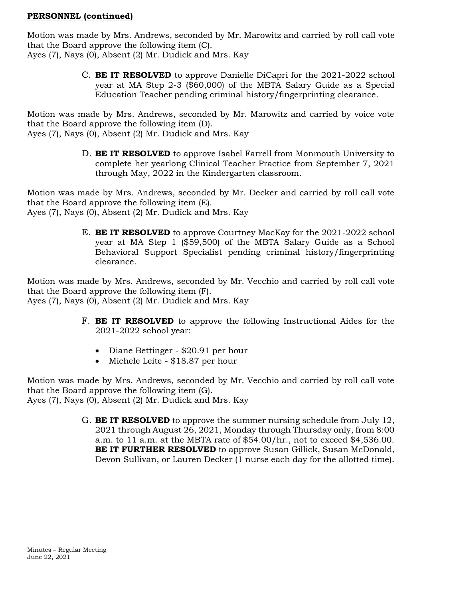#### **PERSONNEL (continued)**

Motion was made by Mrs. Andrews, seconded by Mr. Marowitz and carried by roll call vote that the Board approve the following item (C).

Ayes (7), Nays (0), Absent (2) Mr. Dudick and Mrs. Kay

C. **BE IT RESOLVED** to approve Danielle DiCapri for the 2021-2022 school year at MA Step 2-3 (\$60,000) of the MBTA Salary Guide as a Special Education Teacher pending criminal history/fingerprinting clearance.

Motion was made by Mrs. Andrews, seconded by Mr. Marowitz and carried by voice vote that the Board approve the following item (D).

Ayes (7), Nays (0), Absent (2) Mr. Dudick and Mrs. Kay

D. **BE IT RESOLVED** to approve Isabel Farrell from Monmouth University to complete her yearlong Clinical Teacher Practice from September 7, 2021 through May, 2022 in the Kindergarten classroom.

Motion was made by Mrs. Andrews, seconded by Mr. Decker and carried by roll call vote that the Board approve the following item (E).

Ayes (7), Nays (0), Absent (2) Mr. Dudick and Mrs. Kay

E. **BE IT RESOLVED** to approve Courtney MacKay for the 2021-2022 school year at MA Step 1 (\$59,500) of the MBTA Salary Guide as a School Behavioral Support Specialist pending criminal history/fingerprinting clearance.

Motion was made by Mrs. Andrews, seconded by Mr. Vecchio and carried by roll call vote that the Board approve the following item (F). Ayes (7), Nays (0), Absent (2) Mr. Dudick and Mrs. Kay

- F. **BE IT RESOLVED** to approve the following Instructional Aides for the 2021-2022 school year:
	- Diane Bettinger \$20.91 per hour
	- Michele Leite \$18.87 per hour

Motion was made by Mrs. Andrews, seconded by Mr. Vecchio and carried by roll call vote that the Board approve the following item (G). Ayes (7), Nays (0), Absent (2) Mr. Dudick and Mrs. Kay

> G. **BE IT RESOLVED** to approve the summer nursing schedule from July 12, 2021 through August 26, 2021, Monday through Thursday only, from 8:00 a.m. to 11 a.m. at the MBTA rate of \$54.00/hr., not to exceed \$4,536.00. **BE IT FURTHER RESOLVED** to approve Susan Gillick, Susan McDonald, Devon Sullivan, or Lauren Decker (1 nurse each day for the allotted time).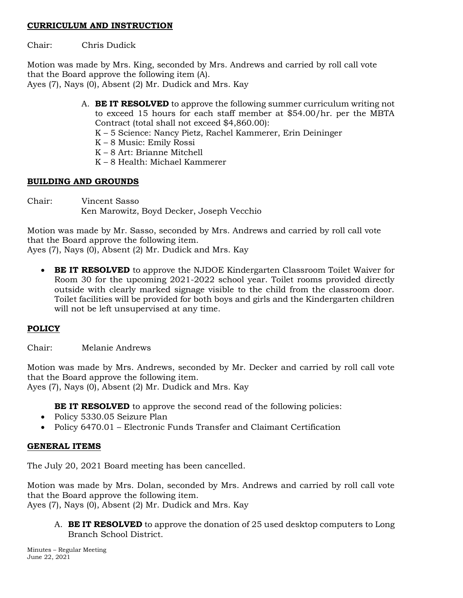#### **CURRICULUM AND INSTRUCTION**

Chair: Chris Dudick

Motion was made by Mrs. King, seconded by Mrs. Andrews and carried by roll call vote that the Board approve the following item (A).

Ayes (7), Nays (0), Absent (2) Mr. Dudick and Mrs. Kay

A. **BE IT RESOLVED** to approve the following summer curriculum writing not to exceed 15 hours for each staff member at \$54.00/hr. per the MBTA Contract (total shall not exceed \$4,860.00):

K – 5 Science: Nancy Pietz, Rachel Kammerer, Erin Deininger

- K 8 Music: Emily Rossi
- K 8 Art: Brianne Mitchell
- K 8 Health: Michael Kammerer

## **BUILDING AND GROUNDS**

Chair: Vincent Sasso Ken Marowitz, Boyd Decker, Joseph Vecchio

Motion was made by Mr. Sasso, seconded by Mrs. Andrews and carried by roll call vote that the Board approve the following item. Ayes (7), Nays (0), Absent (2) Mr. Dudick and Mrs. Kay

 **BE IT RESOLVED** to approve the NJDOE Kindergarten Classroom Toilet Waiver for Room 30 for the upcoming 2021-2022 school year. Toilet rooms provided directly outside with clearly marked signage visible to the child from the classroom door. Toilet facilities will be provided for both boys and girls and the Kindergarten children will not be left unsupervised at any time.

# **POLICY**

Chair: Melanie Andrews

Motion was made by Mrs. Andrews, seconded by Mr. Decker and carried by roll call vote that the Board approve the following item.

Ayes (7), Nays (0), Absent (2) Mr. Dudick and Mrs. Kay

**BE IT RESOLVED** to approve the second read of the following policies:

- Policy 5330.05 Seizure Plan
- Policy 6470.01 Electronic Funds Transfer and Claimant Certification

## **GENERAL ITEMS**

The July 20, 2021 Board meeting has been cancelled.

Motion was made by Mrs. Dolan, seconded by Mrs. Andrews and carried by roll call vote that the Board approve the following item.

Ayes (7), Nays (0), Absent (2) Mr. Dudick and Mrs. Kay

A. **BE IT RESOLVED** to approve the donation of 25 used desktop computers to Long Branch School District.

Minutes – Regular Meeting June 22, 2021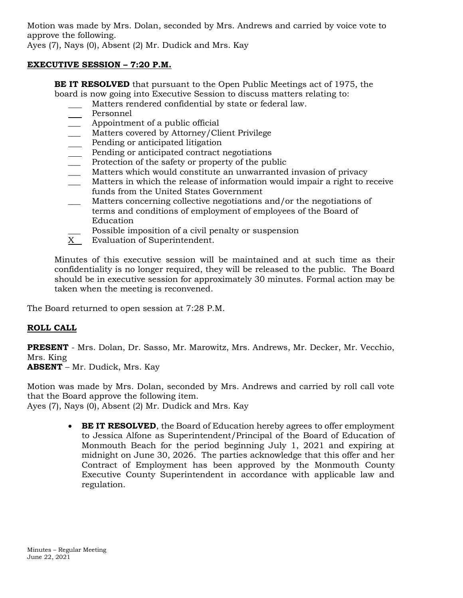Motion was made by Mrs. Dolan, seconded by Mrs. Andrews and carried by voice vote to approve the following. Ayes (7), Nays (0), Absent (2) Mr. Dudick and Mrs. Kay

## **EXECUTIVE SESSION – 7:20 P.M.**

**BE IT RESOLVED** that pursuant to the Open Public Meetings act of 1975, the board is now going into Executive Session to discuss matters relating to:

- Matters rendered confidential by state or federal law.
- Personnel
- Appointment of a public official
- Matters covered by Attorney/Client Privilege
- Pending or anticipated litigation
- Pending or anticipated contract negotiations
- Protection of the safety or property of the public
- Matters which would constitute an unwarranted invasion of privacy
- Matters in which the release of information would impair a right to receive funds from the United States Government
- Matters concerning collective negotiations and/or the negotiations of terms and conditions of employment of employees of the Board of Education
- Possible imposition of a civil penalty or suspension
- X Evaluation of Superintendent.

Minutes of this executive session will be maintained and at such time as their confidentiality is no longer required, they will be released to the public. The Board should be in executive session for approximately 30 minutes. Formal action may be taken when the meeting is reconvened.

The Board returned to open session at 7:28 P.M.

# **ROLL CALL**

**PRESENT** - Mrs. Dolan, Dr. Sasso, Mr. Marowitz, Mrs. Andrews, Mr. Decker, Mr. Vecchio, Mrs. King

**ABSENT** – Mr. Dudick, Mrs. Kay

Motion was made by Mrs. Dolan, seconded by Mrs. Andrews and carried by roll call vote that the Board approve the following item.

Ayes (7), Nays (0), Absent (2) Mr. Dudick and Mrs. Kay

**BE IT RESOLVED**, the Board of Education hereby agrees to offer employment to Jessica Alfone as Superintendent/Principal of the Board of Education of Monmouth Beach for the period beginning July 1, 2021 and expiring at midnight on June 30, 2026. The parties acknowledge that this offer and her Contract of Employment has been approved by the Monmouth County Executive County Superintendent in accordance with applicable law and regulation.